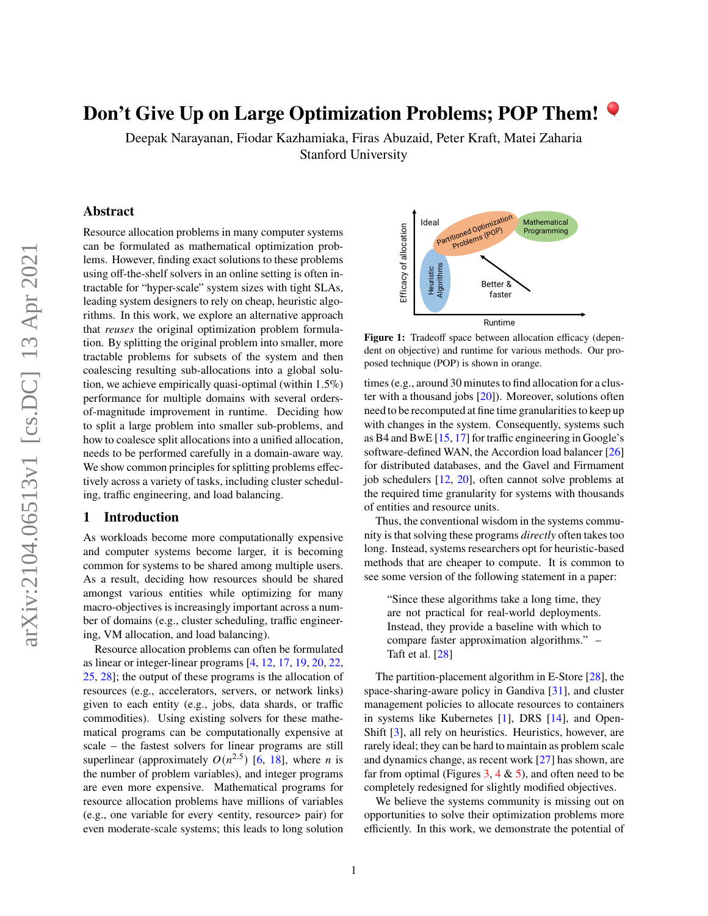# **Don't Give Up on Large Optimization Problems; POP Them!**

Deepak Narayanan, Fiodar Kazhamiaka, Firas Abuzaid, Peter Kraft, Matei Zaharia Stanford University

# **Abstract**

Resource allocation problems in many computer systems can be formulated as mathematical optimization problems. However, finding exact solutions to these problems using off-the-shelf solvers in an online setting is often intractable for "hyper-scale" system sizes with tight SLAs, leading system designers to rely on cheap, heuristic algorithms. In this work, we explore an alternative approach that *reuses* the original optimization problem formulation. By splitting the original problem into smaller, more tractable problems for subsets of the system and then coalescing resulting sub-allocations into a global solution, we achieve empirically quasi-optimal (within 1.5%) performance for multiple domains with several ordersof-magnitude improvement in runtime. Deciding how to split a large problem into smaller sub-problems, and how to coalesce split allocations into a unified allocation, needs to be performed carefully in a domain-aware way. We show common principles for splitting problems effectively across a variety of tasks, including cluster scheduling, traffic engineering, and load balancing.

## **1 Introduction**

As workloads become more computationally expensive and computer systems become larger, it is becoming common for systems to be shared among multiple users. As a result, deciding how resources should be shared amongst various entities while optimizing for many macro-objectives is increasingly important across a number of domains (e.g., cluster scheduling, traffic engineering, VM allocation, and load balancing).

Resource allocation problems can often be formulated as linear or integer-linear programs [\[4,](#page-5-0) [12,](#page-5-1) [17,](#page-5-2) [19,](#page-5-3) [20,](#page-5-4) [22,](#page-5-5) [25,](#page-5-6) [28\]](#page-5-7); the output of these programs is the allocation of resources (e.g., accelerators, servers, or network links) given to each entity (e.g., jobs, data shards, or traffic commodities). Using existing solvers for these mathematical programs can be computationally expensive at scale – the fastest solvers for linear programs are still superlinear (approximately  $O(n^{2.5})$  [\[6,](#page-5-8) [18\]](#page-5-9), where *n* is the number of problem variables), and integer programs are even more expensive. Mathematical programs for resource allocation problems have millions of variables (e.g., one variable for every <entity, resource> pair) for even moderate-scale systems; this leads to long solution

<span id="page-0-0"></span>

**Figure 1:** Tradeoff space between allocation efficacy (dependent on objective) and runtime for various methods. Our proposed technique (POP) is shown in orange.

times (e.g., around 30 minutes to find allocation for a cluster with a thousand jobs [\[20\]](#page-5-4)). Moreover, solutions often need to be recomputed at fine time granularities to keep up with changes in the system. Consequently, systems such as B4 and BwE [\[15,](#page-5-10) [17\]](#page-5-2) for traffic engineering in Google's software-defined WAN, the Accordion load balancer [\[26\]](#page-5-11) for distributed databases, and the Gavel and Firmament job schedulers [\[12,](#page-5-1) [20\]](#page-5-4), often cannot solve problems at the required time granularity for systems with thousands of entities and resource units.

Thus, the conventional wisdom in the systems community is that solving these programs *directly* often takes too long. Instead, systems researchers opt for heuristic-based methods that are cheaper to compute. It is common to see some version of the following statement in a paper:

"Since these algorithms take a long time, they are not practical for real-world deployments. Instead, they provide a baseline with which to compare faster approximation algorithms." – Taft et al. [\[28\]](#page-5-7)

The partition-placement algorithm in E-Store [\[28\]](#page-5-7), the space-sharing-aware policy in Gandiva [\[31\]](#page-6-0), and cluster management policies to allocate resources to containers in systems like Kubernetes [\[1\]](#page-5-12), DRS [\[14\]](#page-5-13), and Open-Shift [\[3\]](#page-5-14), all rely on heuristics. Heuristics, however, are rarely ideal; they can be hard to maintain as problem scale and dynamics change, as recent work [\[27\]](#page-5-15) has shown, are far from optimal (Figures [3,](#page-3-0) [4](#page-3-1)  $\&$  [5\)](#page-4-0), and often need to be completely redesigned for slightly modified objectives.

We believe the systems community is missing out on opportunities to solve their optimization problems more efficiently. In this work, we demonstrate the potential of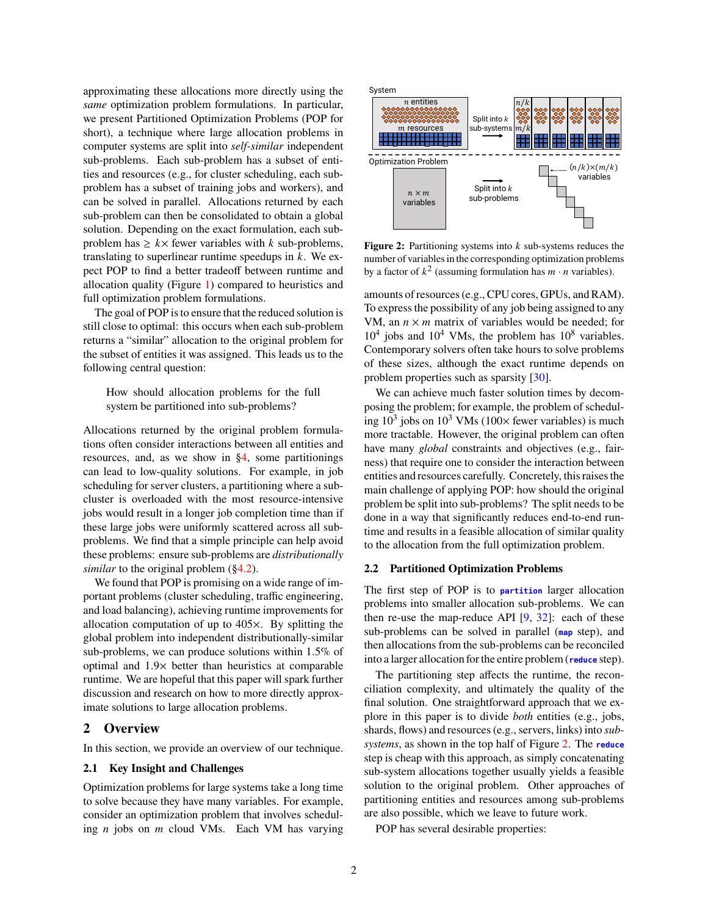approximating these allocations more directly using the *same* optimization problem formulations. In particular, we present Partitioned Optimization Problems (POP for short), a technique where large allocation problems in computer systems are split into *self-similar* independent sub-problems. Each sub-problem has a subset of entities and resources (e.g., for cluster scheduling, each subproblem has a subset of training jobs and workers), and can be solved in parallel. Allocations returned by each sub-problem can then be consolidated to obtain a global solution. Depending on the exact formulation, each subproblem has  $\geq k \times$  fewer variables with k sub-problems, translating to superlinear runtime speedups in  $k$ . We expect POP to find a better tradeoff between runtime and allocation quality (Figure [1\)](#page-0-0) compared to heuristics and full optimization problem formulations.

The goal of POP is to ensure that the reduced solution is still close to optimal: this occurs when each sub-problem returns a "similar" allocation to the original problem for the subset of entities it was assigned. This leads us to the following central question:

How should allocation problems for the full system be partitioned into sub-problems?

Allocations returned by the original problem formulations often consider interactions between all entities and resources, and, as we show in [§4,](#page-4-1) some partitionings can lead to low-quality solutions. For example, in job scheduling for server clusters, a partitioning where a subcluster is overloaded with the most resource-intensive jobs would result in a longer job completion time than if these large jobs were uniformly scattered across all subproblems. We find that a simple principle can help avoid these problems: ensure sub-problems are *distributionally similar* to the original problem ([§4.2\)](#page-4-2).

We found that POP is promising on a wide range of important problems (cluster scheduling, traffic engineering, and load balancing), achieving runtime improvements for allocation computation of up to 405×. By splitting the global problem into independent distributionally-similar sub-problems, we can produce solutions within 1.5% of optimal and 1.9× better than heuristics at comparable runtime. We are hopeful that this paper will spark further discussion and research on how to more directly approximate solutions to large allocation problems.

## **2 Overview**

In this section, we provide an overview of our technique.

## **2.1 Key Insight and Challenges**

Optimization problems for large systems take a long time to solve because they have many variables. For example, consider an optimization problem that involves scheduling  $n$  jobs on  $m$  cloud VMs. Each VM has varying

<span id="page-1-0"></span>

**Figure 2:** Partitioning systems into  $k$  sub-systems reduces the number of variables in the corresponding optimization problems by a factor of  $k^2$  (assuming formulation has  $m \cdot n$  variables).

amounts of resources (e.g., CPU cores, GPUs, and RAM). To express the possibility of any job being assigned to any VM, an  $n \times m$  matrix of variables would be needed; for  $10^4$  jobs and  $10^4$  VMs, the problem has  $10^8$  variables. Contemporary solvers often take hours to solve problems of these sizes, although the exact runtime depends on problem properties such as sparsity [\[30\]](#page-6-1).

We can achieve much faster solution times by decomposing the problem; for example, the problem of scheduling  $10^3$  jobs on  $10^3$  VMs ( $100 \times$  fewer variables) is much more tractable. However, the original problem can often have many *global* constraints and objectives (e.g., fairness) that require one to consider the interaction between entities and resources carefully. Concretely, this raises the main challenge of applying POP: how should the original problem be split into sub-problems? The split needs to be done in a way that significantly reduces end-to-end runtime and results in a feasible allocation of similar quality to the allocation from the full optimization problem.

#### **2.2 Partitioned Optimization Problems**

The first step of POP is to **partition** larger allocation problems into smaller allocation sub-problems. We can then re-use the map-reduce API  $[9, 32]$  $[9, 32]$  $[9, 32]$ : each of these sub-problems can be solved in parallel (**map** step), and then allocations from the sub-problems can be reconciled into a larger allocation for the entire problem (**reduce** step).

The partitioning step affects the runtime, the reconciliation complexity, and ultimately the quality of the final solution. One straightforward approach that we explore in this paper is to divide *both* entities (e.g., jobs, shards, flows) and resources (e.g., servers, links) into *subsystems*, as shown in the top half of Figure [2.](#page-1-0) The **reduce** step is cheap with this approach, as simply concatenating sub-system allocations together usually yields a feasible solution to the original problem. Other approaches of partitioning entities and resources among sub-problems are also possible, which we leave to future work.

POP has several desirable properties: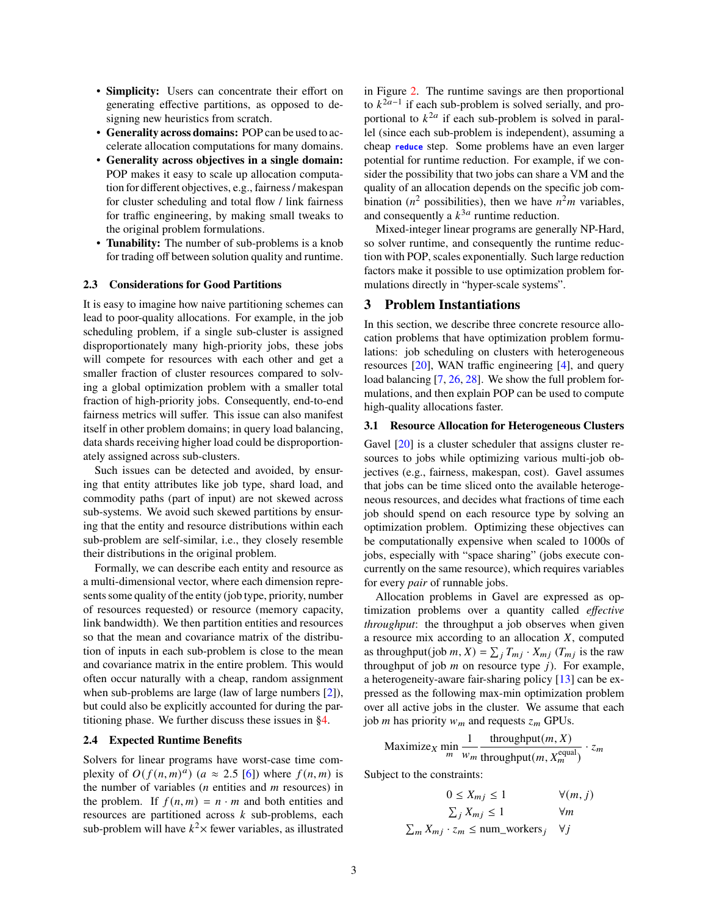- **Simplicity:** Users can concentrate their effort on generating effective partitions, as opposed to designing new heuristics from scratch.
- **Generality across domains:** POP can be used to accelerate allocation computations for many domains.
- **Generality across objectives in a single domain:** POP makes it easy to scale up allocation computation for different objectives, e.g., fairness / makespan for cluster scheduling and total flow / link fairness for traffic engineering, by making small tweaks to the original problem formulations.
- **Tunability:** The number of sub-problems is a knob for trading off between solution quality and runtime.

#### **2.3 Considerations for Good Partitions**

It is easy to imagine how naive partitioning schemes can lead to poor-quality allocations. For example, in the job scheduling problem, if a single sub-cluster is assigned disproportionately many high-priority jobs, these jobs will compete for resources with each other and get a smaller fraction of cluster resources compared to solving a global optimization problem with a smaller total fraction of high-priority jobs. Consequently, end-to-end fairness metrics will suffer. This issue can also manifest itself in other problem domains; in query load balancing, data shards receiving higher load could be disproportionately assigned across sub-clusters.

Such issues can be detected and avoided, by ensuring that entity attributes like job type, shard load, and commodity paths (part of input) are not skewed across sub-systems. We avoid such skewed partitions by ensuring that the entity and resource distributions within each sub-problem are self-similar, i.e., they closely resemble their distributions in the original problem.

Formally, we can describe each entity and resource as a multi-dimensional vector, where each dimension represents some quality of the entity (job type, priority, number of resources requested) or resource (memory capacity, link bandwidth). We then partition entities and resources so that the mean and covariance matrix of the distribution of inputs in each sub-problem is close to the mean and covariance matrix in the entire problem. This would often occur naturally with a cheap, random assignment when sub-problems are large (law of large numbers [\[2\]](#page-5-17)), but could also be explicitly accounted for during the partitioning phase. We further discuss these issues in [§4.](#page-4-1)

#### **2.4 Expected Runtime Benefits**

Solvers for linear programs have worst-case time complexity of  $O(f(n, m)^a)$  (a  $\approx$  2.5 [\[6\]](#page-5-8)) where  $f(n, m)$  is the number of variables  $(n \text{ entities and } m \text{ resources})$  in the problem. If  $f(n, m) = n \cdot m$  and both entities and resources are partitioned across  $k$  sub-problems, each sub-problem will have  $k^2$  $\times$  fewer variables, as illustrated

in Figure [2.](#page-1-0) The runtime savings are then proportional to  $k^{2a-1}$  if each sub-problem is solved serially, and proportional to  $k^{2a}$  if each sub-problem is solved in parallel (since each sub-problem is independent), assuming a cheap **reduce** step. Some problems have an even larger potential for runtime reduction. For example, if we consider the possibility that two jobs can share a VM and the quality of an allocation depends on the specific job combination ( $n^2$  possibilities), then we have  $n^2m$  variables, and consequently a  $k^{3a}$  runtime reduction.

Mixed-integer linear programs are generally NP-Hard, so solver runtime, and consequently the runtime reduction with POP, scales exponentially. Such large reduction factors make it possible to use optimization problem formulations directly in "hyper-scale systems".

# **3 Problem Instantiations**

In this section, we describe three concrete resource allocation problems that have optimization problem formulations: job scheduling on clusters with heterogeneous resources [\[20\]](#page-5-4), WAN traffic engineering [\[4\]](#page-5-0), and query load balancing [\[7,](#page-5-18) [26,](#page-5-11) [28\]](#page-5-7). We show the full problem formulations, and then explain POP can be used to compute high-quality allocations faster.

#### **3.1 Resource Allocation for Heterogeneous Clusters**

Gavel  $[20]$  is a cluster scheduler that assigns cluster resources to jobs while optimizing various multi-job objectives (e.g., fairness, makespan, cost). Gavel assumes that jobs can be time sliced onto the available heterogeneous resources, and decides what fractions of time each job should spend on each resource type by solving an optimization problem. Optimizing these objectives can be computationally expensive when scaled to 1000s of jobs, especially with "space sharing" (jobs execute concurrently on the same resource), which requires variables for every *pair* of runnable jobs.

Allocation problems in Gavel are expressed as optimization problems over a quantity called *effective throughput*: the throughput a job observes when given a resource mix according to an allocation  $X$ , computed as throughput(job m, X) =  $\sum_i T_{m_i} \cdot X_{m_i}$  ( $T_{m_i}$  is the raw throughput of job  $m$  on resource type  $j$ ). For example, a heterogeneity-aware fair-sharing policy [\[13\]](#page-5-19) can be expressed as the following max-min optimization problem over all active jobs in the cluster. We assume that each job *m* has priority  $w_m$  and requests  $z_m$  GPUs.

$$
\text{Maximize}_{X} \min_{m} \frac{1}{w_m} \frac{\text{throughput}(m, X)}{\text{throughput}(m, X_m^{\text{equal}})} \cdot z_m
$$

Subject to the constraints:

$$
0 \le X_{mj} \le 1 \qquad \forall (m, j)
$$
  

$$
\sum_{j} X_{mj} \le 1 \qquad \forall m
$$
  

$$
\sum_{m} X_{mj} \cdot z_m \le \text{num\_works}_j \quad \forall j
$$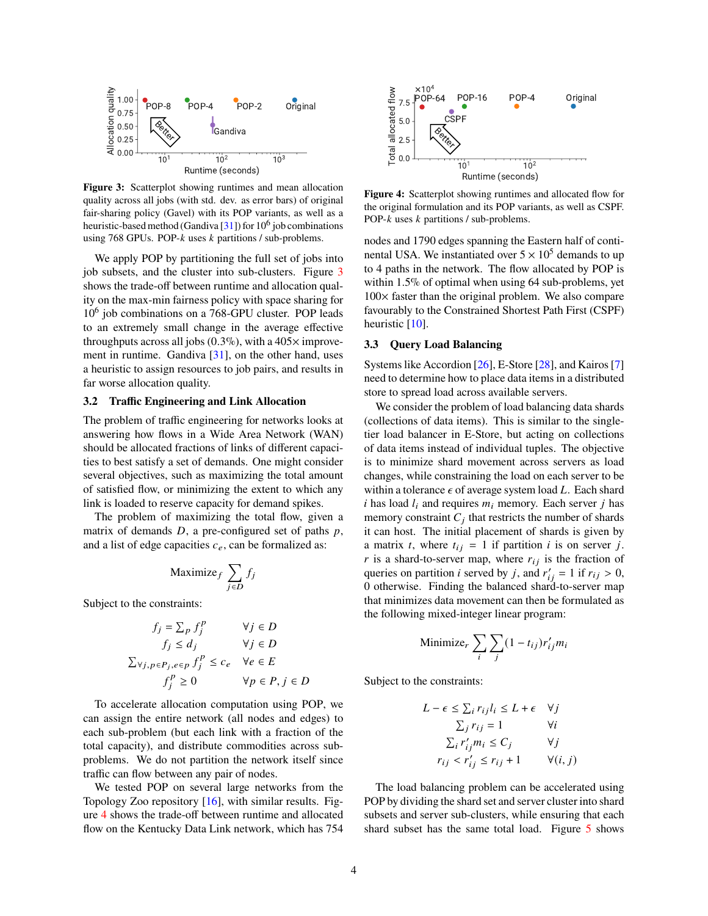<span id="page-3-0"></span>

**Figure 3:** Scatterplot showing runtimes and mean allocation quality across all jobs (with std. dev. as error bars) of original fair-sharing policy (Gavel) with its POP variants, as well as a heuristic-based method (Gandiva [\[31\]](#page-6-0)) for 10<sup>6</sup> job combinations using 768 GPUs. POP- $k$  uses  $k$  partitions  $\ell$  sub-problems.

We apply POP by partitioning the full set of jobs into job subsets, and the cluster into sub-clusters. Figure [3](#page-3-0) shows the trade-off between runtime and allocation quality on the max-min fairness policy with space sharing for 10<sup>6</sup> job combinations on a 768-GPU cluster. POP leads to an extremely small change in the average effective throughputs across all jobs  $(0.3\%)$ , with a 405 $\times$  improvement in runtime. Gandiva [\[31\]](#page-6-0), on the other hand, uses a heuristic to assign resources to job pairs, and results in far worse allocation quality.

## <span id="page-3-2"></span>**3.2 Traffic Engineering and Link Allocation**

The problem of traffic engineering for networks looks at answering how flows in a Wide Area Network (WAN) should be allocated fractions of links of different capacities to best satisfy a set of demands. One might consider several objectives, such as maximizing the total amount of satisfied flow, or minimizing the extent to which any link is loaded to reserve capacity for demand spikes.

The problem of maximizing the total flow, given a matrix of demands  $D$ , a pre-configured set of paths  $p$ , and a list of edge capacities  $c_e$ , can be formalized as:

$$
\text{Maximize}_{f} \sum_{j \in D} f_j
$$

Subject to the constraints:

$$
f_j = \sum_p f_j^p \qquad \forall j \in D
$$
  
\n
$$
f_j \le d_j \qquad \forall j \in D
$$
  
\n
$$
\sum_{\forall j, p \in P_j, e \in p} f_j^p \le c_e \quad \forall e \in E
$$
  
\n
$$
f_i^p \ge 0 \qquad \forall p \in P, j \in D
$$

To accelerate allocation computation using POP, we can assign the entire network (all nodes and edges) to each sub-problem (but each link with a fraction of the total capacity), and distribute commodities across subproblems. We do not partition the network itself since traffic can flow between any pair of nodes.

We tested POP on several large networks from the Topology Zoo repository [\[16\]](#page-5-20), with similar results. Figure [4](#page-3-1) shows the trade-off between runtime and allocated flow on the Kentucky Data Link network, which has 754

<span id="page-3-1"></span>

**Figure 4:** Scatterplot showing runtimes and allocated flow for the original formulation and its POP variants, as well as CSPF. POP- $k$  uses  $k$  partitions  $\ell$  sub-problems.

nodes and 1790 edges spanning the Eastern half of continental USA. We instantiated over  $5 \times 10^5$  demands to up to 4 paths in the network. The flow allocated by POP is within 1.5% of optimal when using 64 sub-problems, yet  $100\times$  faster than the original problem. We also compare favourably to the Constrained Shortest Path First (CSPF) heuristic [\[10\]](#page-5-21).

#### <span id="page-3-3"></span>**3.3 Query Load Balancing**

Systems like Accordion [\[26\]](#page-5-11), E-Store [\[28\]](#page-5-7), and Kairos [\[7\]](#page-5-18) need to determine how to place data items in a distributed store to spread load across available servers.

We consider the problem of load balancing data shards (collections of data items). This is similar to the singletier load balancer in E-Store, but acting on collections of data items instead of individual tuples. The objective is to minimize shard movement across servers as load changes, while constraining the load on each server to be within a tolerance  $\epsilon$  of average system load L. Each shard i has load  $l_i$  and requires  $m_i$  memory. Each server *j* has memory constraint  $C_i$  that restricts the number of shards it can host. The initial placement of shards is given by a matrix t, where  $t_{ij} = 1$  if partition i is on server j. r is a shard-to-server map, where  $r_{ij}$  is the fraction of queries on partition *i* served by *j*, and  $r'_{ij} = 1$  if  $r_{ij} > 0$ , 0 otherwise. Finding the balanced shard-to-server map that minimizes data movement can then be formulated as the following mixed-integer linear program:

Minimize<sub>r</sub> 
$$
\sum_i \sum_j (1 - t_{ij}) r'_{ij} m_i
$$

Subject to the constraints:

$$
L - \epsilon \le \sum_i r_{ij} l_i \le L + \epsilon \quad \forall j
$$
  

$$
\sum_j r_{ij} = 1 \qquad \forall i
$$
  

$$
\sum_i r'_{ij} m_i \le C_j \qquad \forall j
$$
  

$$
r_{ij} < r'_{ij} \le r_{ij} + 1 \qquad \forall (i, j)
$$

The load balancing problem can be accelerated using POP by dividing the shard set and server cluster into shard subsets and server sub-clusters, while ensuring that each shard subset has the same total load. Figure [5](#page-4-0) shows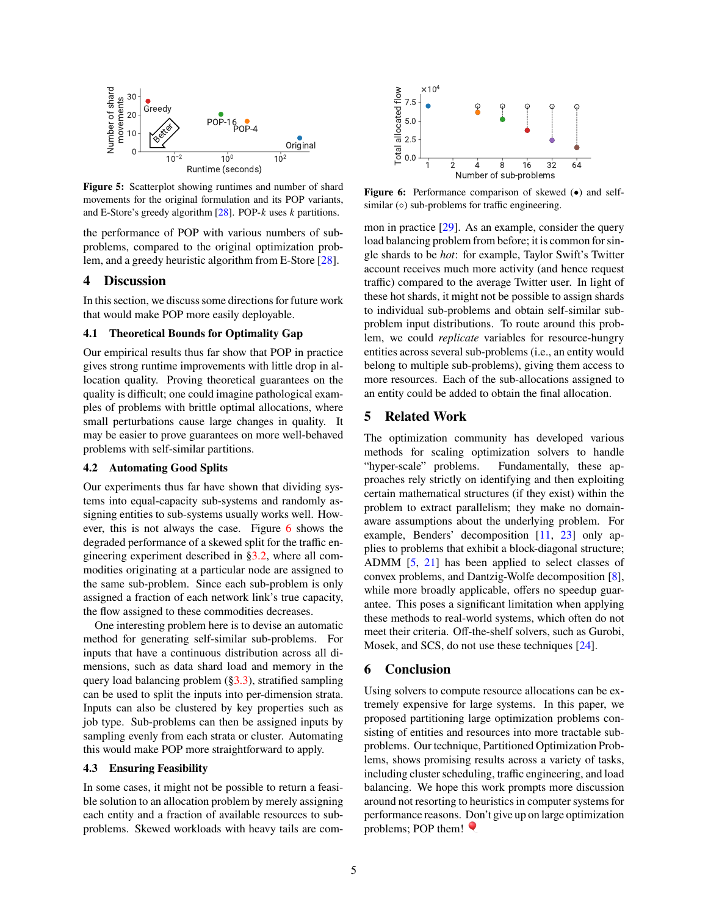<span id="page-4-0"></span>

**Figure 5:** Scatterplot showing runtimes and number of shard movements for the original formulation and its POP variants, and E-Store's greedy algorithm  $[28]$ . POP- $k$  uses  $k$  partitions.

the performance of POP with various numbers of subproblems, compared to the original optimization problem, and a greedy heuristic algorithm from E-Store [\[28\]](#page-5-7).

# <span id="page-4-1"></span>**4 Discussion**

In this section, we discuss some directions for future work that would make POP more easily deployable.

## **4.1 Theoretical Bounds for Optimality Gap**

Our empirical results thus far show that POP in practice gives strong runtime improvements with little drop in allocation quality. Proving theoretical guarantees on the quality is difficult; one could imagine pathological examples of problems with brittle optimal allocations, where small perturbations cause large changes in quality. It may be easier to prove guarantees on more well-behaved problems with self-similar partitions.

#### <span id="page-4-2"></span>**4.2 Automating Good Splits**

Our experiments thus far have shown that dividing systems into equal-capacity sub-systems and randomly assigning entities to sub-systems usually works well. However, this is not always the case. Figure [6](#page-4-3) shows the degraded performance of a skewed split for the traffic engineering experiment described in [§3.2,](#page-3-2) where all commodities originating at a particular node are assigned to the same sub-problem. Since each sub-problem is only assigned a fraction of each network link's true capacity, the flow assigned to these commodities decreases.

One interesting problem here is to devise an automatic method for generating self-similar sub-problems. For inputs that have a continuous distribution across all dimensions, such as data shard load and memory in the query load balancing problem ([§3.3\)](#page-3-3), stratified sampling can be used to split the inputs into per-dimension strata. Inputs can also be clustered by key properties such as job type. Sub-problems can then be assigned inputs by sampling evenly from each strata or cluster. Automating this would make POP more straightforward to apply.

#### **4.3 Ensuring Feasibility**

In some cases, it might not be possible to return a feasible solution to an allocation problem by merely assigning each entity and a fraction of available resources to subproblems. Skewed workloads with heavy tails are com-

<span id="page-4-3"></span>

**Figure 6:** Performance comparison of skewed (•) and selfsimilar  $(○)$  sub-problems for traffic engineering.

mon in practice [\[29\]](#page-6-3). As an example, consider the query load balancing problem from before; it is common for single shards to be *hot*: for example, Taylor Swift's Twitter account receives much more activity (and hence request traffic) compared to the average Twitter user. In light of these hot shards, it might not be possible to assign shards to individual sub-problems and obtain self-similar subproblem input distributions. To route around this problem, we could *replicate* variables for resource-hungry entities across several sub-problems (i.e., an entity would belong to multiple sub-problems), giving them access to more resources. Each of the sub-allocations assigned to an entity could be added to obtain the final allocation.

# **5 Related Work**

The optimization community has developed various methods for scaling optimization solvers to handle "hyper-scale" problems. Fundamentally, these approaches rely strictly on identifying and then exploiting certain mathematical structures (if they exist) within the problem to extract parallelism; they make no domainaware assumptions about the underlying problem. For example, Benders' decomposition [\[11,](#page-5-22) [23\]](#page-5-23) only applies to problems that exhibit a block-diagonal structure; ADMM [\[5,](#page-5-24) [21\]](#page-5-25) has been applied to select classes of convex problems, and Dantzig-Wolfe decomposition [\[8\]](#page-5-26), while more broadly applicable, offers no speedup guarantee. This poses a significant limitation when applying these methods to real-world systems, which often do not meet their criteria. Off-the-shelf solvers, such as Gurobi, Mosek, and SCS, do not use these techniques [\[24\]](#page-5-27).

## **6 Conclusion**

Using solvers to compute resource allocations can be extremely expensive for large systems. In this paper, we proposed partitioning large optimization problems consisting of entities and resources into more tractable subproblems. Our technique, Partitioned Optimization Problems, shows promising results across a variety of tasks, including cluster scheduling, traffic engineering, and load balancing. We hope this work prompts more discussion around not resorting to heuristics in computer systems for performance reasons. Don't give up on large optimization problems; POP them!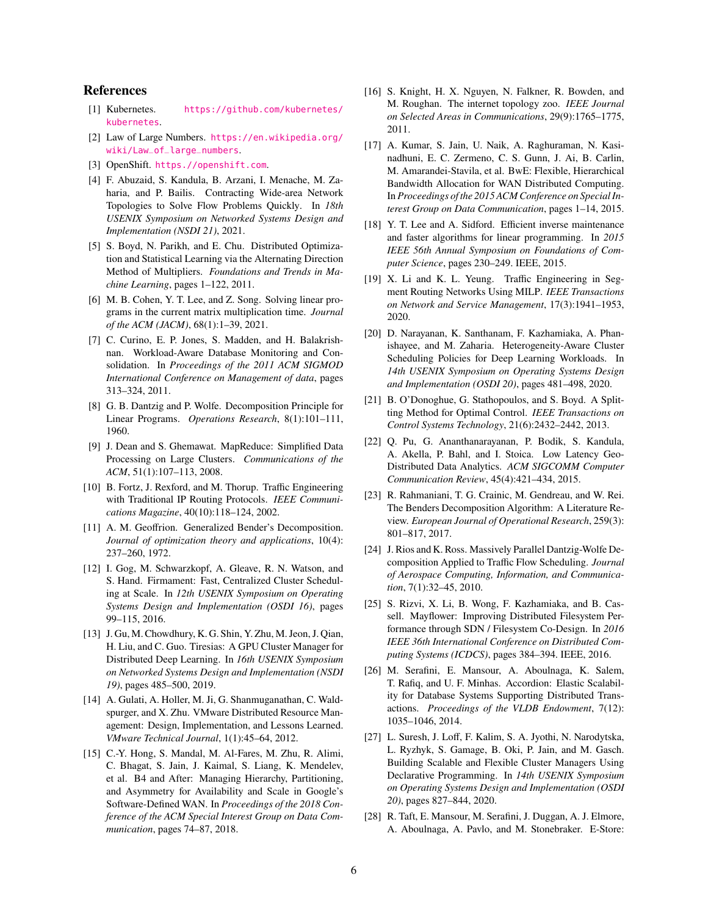## **References**

- <span id="page-5-12"></span>[1] Kubernetes. [https://github.com/kubernetes/](https://github.com/kubernetes/kubernetes) [kubernetes](https://github.com/kubernetes/kubernetes).
- <span id="page-5-17"></span>[2] Law of Large Numbers. [https://en.wikipedia.org/](https://en.wikipedia.org/wiki/Law_of_large_numbers) [wiki/Law\\_of\\_large\\_numbers](https://en.wikipedia.org/wiki/Law_of_large_numbers).
- <span id="page-5-14"></span>[3] OpenShift. <https.//openshift.com>.
- <span id="page-5-0"></span>[4] F. Abuzaid, S. Kandula, B. Arzani, I. Menache, M. Zaharia, and P. Bailis. Contracting Wide-area Network Topologies to Solve Flow Problems Quickly. In *18th USENIX Symposium on Networked Systems Design and Implementation (NSDI 21)*, 2021.
- <span id="page-5-24"></span>[5] S. Boyd, N. Parikh, and E. Chu. Distributed Optimization and Statistical Learning via the Alternating Direction Method of Multipliers. *Foundations and Trends in Machine Learning*, pages 1–122, 2011.
- <span id="page-5-8"></span>[6] M. B. Cohen, Y. T. Lee, and Z. Song. Solving linear programs in the current matrix multiplication time. *Journal of the ACM (JACM)*, 68(1):1–39, 2021.
- <span id="page-5-18"></span>[7] C. Curino, E. P. Jones, S. Madden, and H. Balakrishnan. Workload-Aware Database Monitoring and Consolidation. In *Proceedings of the 2011 ACM SIGMOD International Conference on Management of data*, pages 313–324, 2011.
- <span id="page-5-26"></span>[8] G. B. Dantzig and P. Wolfe. Decomposition Principle for Linear Programs. *Operations Research*, 8(1):101–111, 1960.
- <span id="page-5-16"></span>[9] J. Dean and S. Ghemawat. MapReduce: Simplified Data Processing on Large Clusters. *Communications of the ACM*, 51(1):107–113, 2008.
- <span id="page-5-21"></span>[10] B. Fortz, J. Rexford, and M. Thorup. Traffic Engineering with Traditional IP Routing Protocols. *IEEE Communications Magazine*, 40(10):118–124, 2002.
- <span id="page-5-22"></span>[11] A. M. Geoffrion. Generalized Bender's Decomposition. *Journal of optimization theory and applications*, 10(4): 237–260, 1972.
- <span id="page-5-1"></span>[12] I. Gog, M. Schwarzkopf, A. Gleave, R. N. Watson, and S. Hand. Firmament: Fast, Centralized Cluster Scheduling at Scale. In *12th USENIX Symposium on Operating Systems Design and Implementation (OSDI 16)*, pages 99–115, 2016.
- <span id="page-5-19"></span>[13] J. Gu, M. Chowdhury, K. G. Shin, Y. Zhu, M. Jeon, J. Qian, H. Liu, and C. Guo. Tiresias: A GPU Cluster Manager for Distributed Deep Learning. In *16th USENIX Symposium on Networked Systems Design and Implementation (NSDI 19)*, pages 485–500, 2019.
- <span id="page-5-13"></span>[14] A. Gulati, A. Holler, M. Ji, G. Shanmuganathan, C. Waldspurger, and X. Zhu. VMware Distributed Resource Management: Design, Implementation, and Lessons Learned. *VMware Technical Journal*, 1(1):45–64, 2012.
- <span id="page-5-10"></span>[15] C.-Y. Hong, S. Mandal, M. Al-Fares, M. Zhu, R. Alimi, C. Bhagat, S. Jain, J. Kaimal, S. Liang, K. Mendelev, et al. B4 and After: Managing Hierarchy, Partitioning, and Asymmetry for Availability and Scale in Google's Software-Defined WAN. In *Proceedings of the 2018 Conference of the ACM Special Interest Group on Data Communication*, pages 74–87, 2018.
- <span id="page-5-20"></span>[16] S. Knight, H. X. Nguyen, N. Falkner, R. Bowden, and M. Roughan. The internet topology zoo. *IEEE Journal on Selected Areas in Communications*, 29(9):1765–1775, 2011.
- <span id="page-5-2"></span>[17] A. Kumar, S. Jain, U. Naik, A. Raghuraman, N. Kasinadhuni, E. C. Zermeno, C. S. Gunn, J. Ai, B. Carlin, M. Amarandei-Stavila, et al. BwE: Flexible, Hierarchical Bandwidth Allocation for WAN Distributed Computing. In*Proceedings of the 2015 ACM Conference on Special Interest Group on Data Communication*, pages 1–14, 2015.
- <span id="page-5-9"></span>[18] Y. T. Lee and A. Sidford. Efficient inverse maintenance and faster algorithms for linear programming. In *2015 IEEE 56th Annual Symposium on Foundations of Computer Science*, pages 230–249. IEEE, 2015.
- <span id="page-5-3"></span>[19] X. Li and K. L. Yeung. Traffic Engineering in Segment Routing Networks Using MILP. *IEEE Transactions on Network and Service Management*, 17(3):1941–1953, 2020.
- <span id="page-5-4"></span>[20] D. Narayanan, K. Santhanam, F. Kazhamiaka, A. Phanishayee, and M. Zaharia. Heterogeneity-Aware Cluster Scheduling Policies for Deep Learning Workloads. In *14th USENIX Symposium on Operating Systems Design and Implementation (OSDI 20)*, pages 481–498, 2020.
- <span id="page-5-25"></span>[21] B. O'Donoghue, G. Stathopoulos, and S. Boyd. A Splitting Method for Optimal Control. *IEEE Transactions on Control Systems Technology*, 21(6):2432–2442, 2013.
- <span id="page-5-5"></span>[22] Q. Pu, G. Ananthanarayanan, P. Bodik, S. Kandula, A. Akella, P. Bahl, and I. Stoica. Low Latency Geo-Distributed Data Analytics. *ACM SIGCOMM Computer Communication Review*, 45(4):421–434, 2015.
- <span id="page-5-23"></span>[23] R. Rahmaniani, T. G. Crainic, M. Gendreau, and W. Rei. The Benders Decomposition Algorithm: A Literature Review. *European Journal of Operational Research*, 259(3): 801–817, 2017.
- <span id="page-5-27"></span>[24] J. Rios and K. Ross. Massively Parallel Dantzig-Wolfe Decomposition Applied to Traffic Flow Scheduling. *Journal of Aerospace Computing, Information, and Communication*, 7(1):32–45, 2010.
- <span id="page-5-6"></span>[25] S. Rizvi, X. Li, B. Wong, F. Kazhamiaka, and B. Cassell. Mayflower: Improving Distributed Filesystem Performance through SDN / Filesystem Co-Design. In *2016 IEEE 36th International Conference on Distributed Computing Systems (ICDCS)*, pages 384–394. IEEE, 2016.
- <span id="page-5-11"></span>[26] M. Serafini, E. Mansour, A. Aboulnaga, K. Salem, T. Rafiq, and U. F. Minhas. Accordion: Elastic Scalability for Database Systems Supporting Distributed Transactions. *Proceedings of the VLDB Endowment*, 7(12): 1035–1046, 2014.
- <span id="page-5-15"></span>[27] L. Suresh, J. Loff, F. Kalim, S. A. Jyothi, N. Narodytska, L. Ryzhyk, S. Gamage, B. Oki, P. Jain, and M. Gasch. Building Scalable and Flexible Cluster Managers Using Declarative Programming. In *14th USENIX Symposium on Operating Systems Design and Implementation (OSDI 20)*, pages 827–844, 2020.
- <span id="page-5-7"></span>[28] R. Taft, E. Mansour, M. Serafini, J. Duggan, A. J. Elmore, A. Aboulnaga, A. Pavlo, and M. Stonebraker. E-Store: